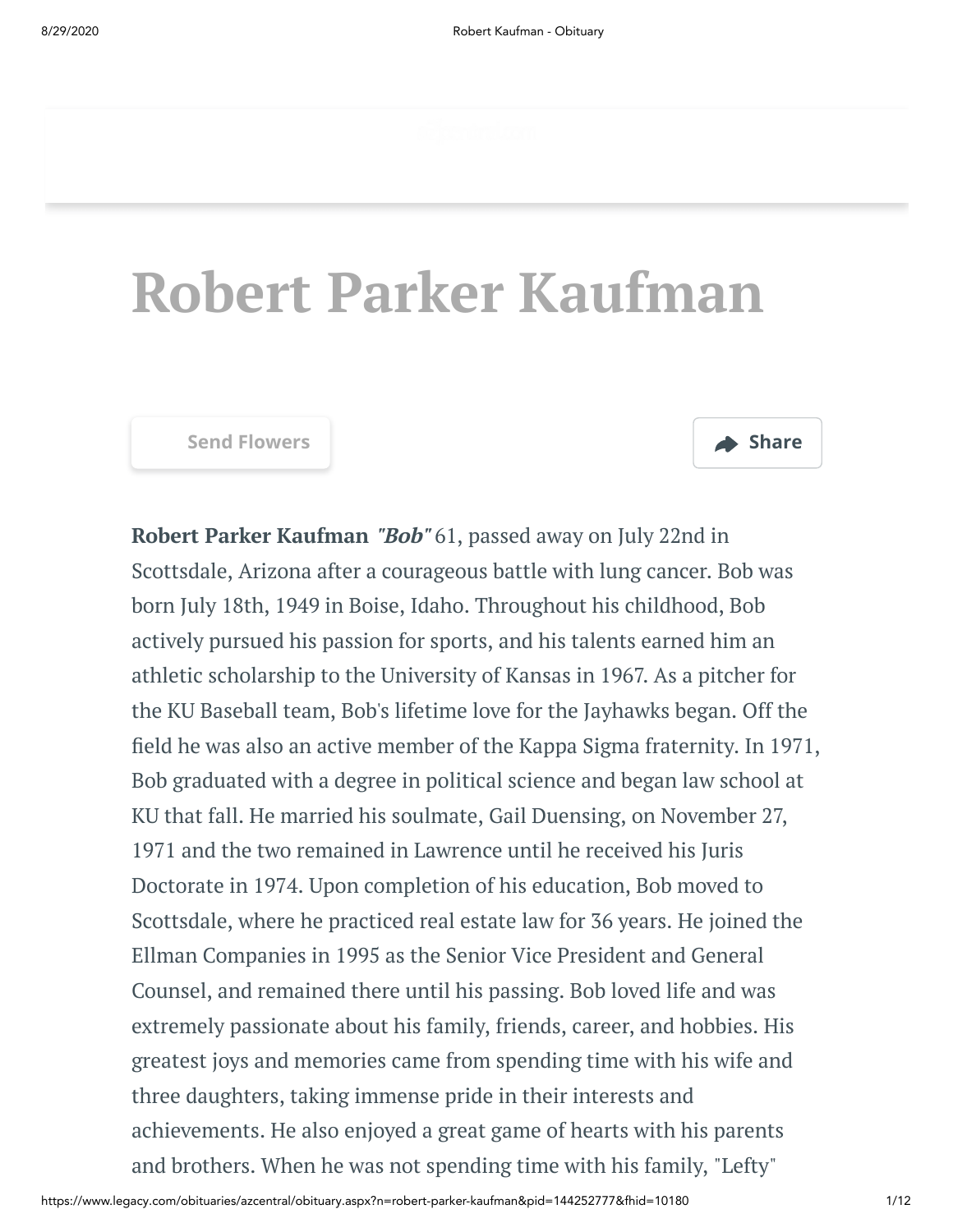# **Robert Parker Kaufman**



**Robert Parker Kaufman "Bob"** 61, passed away on July 22nd in Scottsdale, Arizona after a courageous battle with lung cancer. Bob was born July 18th, 1949 in Boise, Idaho. Throughout his childhood, Bob actively pursued his passion for sports, and his talents earned him an athletic scholarship to the University of Kansas in 1967. As a pitcher for the KU Baseball team, Bob's lifetime love for the Jayhawks began. Off the field he was also an active member of the Kappa Sigma fraternity. In 1971, Bob graduated with a degree in political science and began law school at KU that fall. He married his soulmate, Gail Duensing, on November 27, 1971 and the two remained in Lawrence until he received his Juris Doctorate in 1974. Upon completion of his education, Bob moved to Scottsdale, where he practiced real estate law for 36 years. He joined the Ellman Companies in 1995 as the Senior Vice President and General Counsel, and remained there until his passing. Bob loved life and was extremely passionate about his family, friends, career, and hobbies. His greatest joys and memories came from spending time with his wife and three daughters, taking immense pride in their interests and achievements. He also enjoyed a great game of hearts with his parents and brothers. When he was not spending time with his family, "Lefty"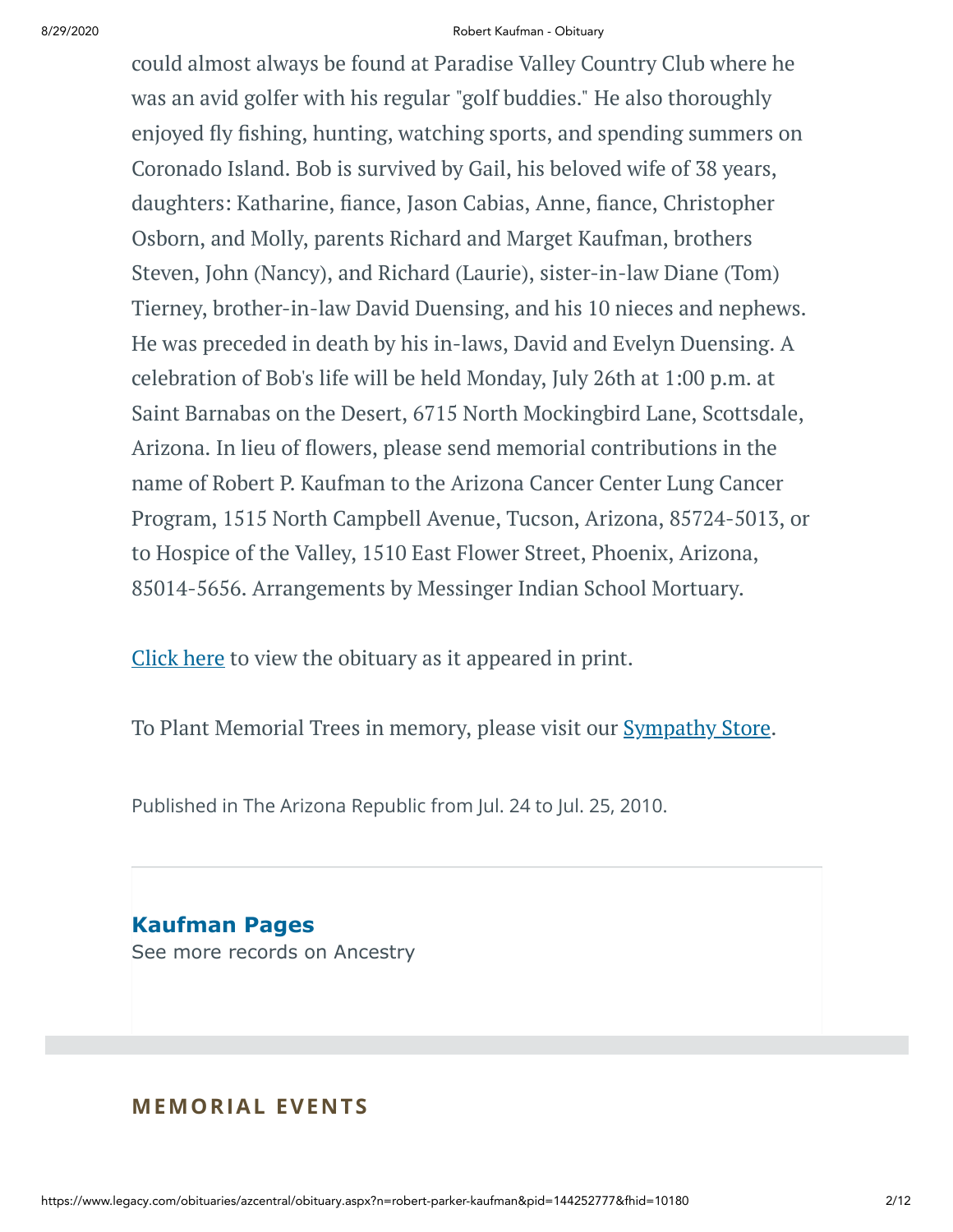#### 8/29/2020 Robert Kaufman - Obituary

could almost always be found at Paradise Valley Country Club where he was an avid golfer with his regular "golf buddies." He also thoroughly enjoyed fly fishing, hunting, watching sports, and spending summers on Coronado Island. Bob is survived by Gail, his beloved wife of 38 years, daughters: Katharine, fiance, Jason Cabias, Anne, fiance, Christopher Osborn, and Molly, parents Richard and Marget Kaufman, brothers Steven, John (Nancy), and Richard (Laurie), sister-in-law Diane (Tom) Tierney, brother-in-law David Duensing, and his 10 nieces and nephews. He was preceded in death by his in-laws, David and Evelyn Duensing. A celebration of Bob's life will be held Monday, July 26th at 1:00 p.m. at Saint Barnabas on the Desert, 6715 North Mockingbird Lane, Scottsdale, Arizona. In lieu of flowers, please send memorial contributions in the name of Robert P. Kaufman to the Arizona Cancer Center Lung Cancer Program, 1515 North Campbell Avenue, Tucson, Arizona, 85724-5013, or to Hospice of the Valley, 1510 East Flower Street, Phoenix, Arizona, 85014-5656. Arrangements by Messinger Indian School Mortuary.

[Click](https://www.legacy.com/Images/Cobrands/AZCentral/Photos/PDF/0007221602-01_07242010.pdf) here to view the obituary as it appeared in print.

To Plant Memorial Trees in memory, please visit our [Sympathy](https://sympathy.legacy.com/en-us/funeral-flowers/name/robert-kaufman-funeral-flowers/p144252777/?affiliateId=45&pm=240) Store.

Published in The Arizona Republic from Jul. 24 to Jul. 25, 2010.

**Kaufman Pages** [See more records on Ancestry](https://adclick.g.doubleclick.net/pcs/click?xai=AKAOjsvudBfqPgx2sT3_llRfPGgiWAoOFTt9skxKyf5PmgfBfFpSZ5jp57lCL4TvkwRGKMH_kuaJEVc087c0ppdeuQWlwJU0rVSRv3ogFqb-JHlF09IlW67o0QM-LoH8lzPfBi6XxW4u6GLK5kcZ4b-Dk9j7pN3BnkCXFpB0A9KRlbx-f8ijpWS-sN0yMGJYvnBu_imsG8JGLOqU3pWZrihmAyYZR5e9Hz1kmUPrnR5-BUX9ArXirJH5JxgkGYlRMknpXsd-Mg-We6b8cSZnpABdoYULqd9k8whOs4Z-FDycfXkx0EVIZt8ozQ&sig=Cg0ArKJSzCs5eARVVdHCEAE&urlfix=1&adurl=https://prf.hn/click/camref:1101l3yjc/adref:77841/destination:https://www.ancestry.com/cs/partner-records%3FflowId%3DpartnersBirth%26gsfn%3DRobert%26gsln%3DKaufman)

# **MEMORIAL EVENTS**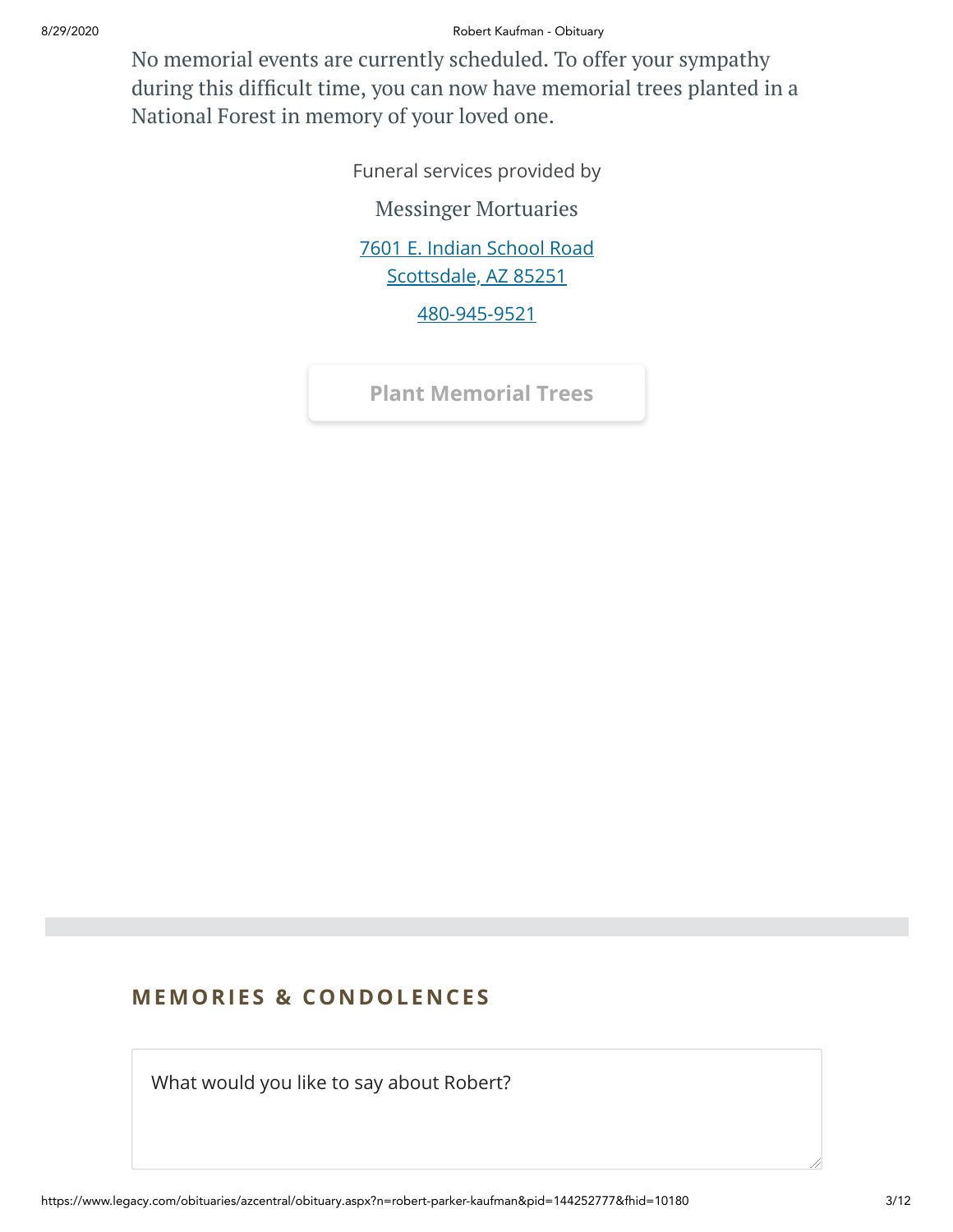8/29/2020 Robert Kaufman - Obituary

No memorial events are currently scheduled. To offer your sympathy during this difficult time, you can now have memorial trees planted in a National Forest in memory of your loved one.

> Funeral services provided by Messinger [Mortuaries](https://www.messingermortuary.com/) [7601 E. Indian School Road](https://maps.google.com/?q=7601%20E.%20Indian%20School%20Road%20Scottsdale,%20AZ%2085251) Scottsdale, AZ 85251

> > [480-945-9521](tel:4809459521)

**[Plant Memorial Trees](https://sympathy.legacy.com/en-us/funeral-flowers/name/robert-kaufman-funeral-flowers/p144252777/?affiliateId=45&pm=271)**

# **MEMORIES & CO N DOLE N CES**

What would you like to say about Robert?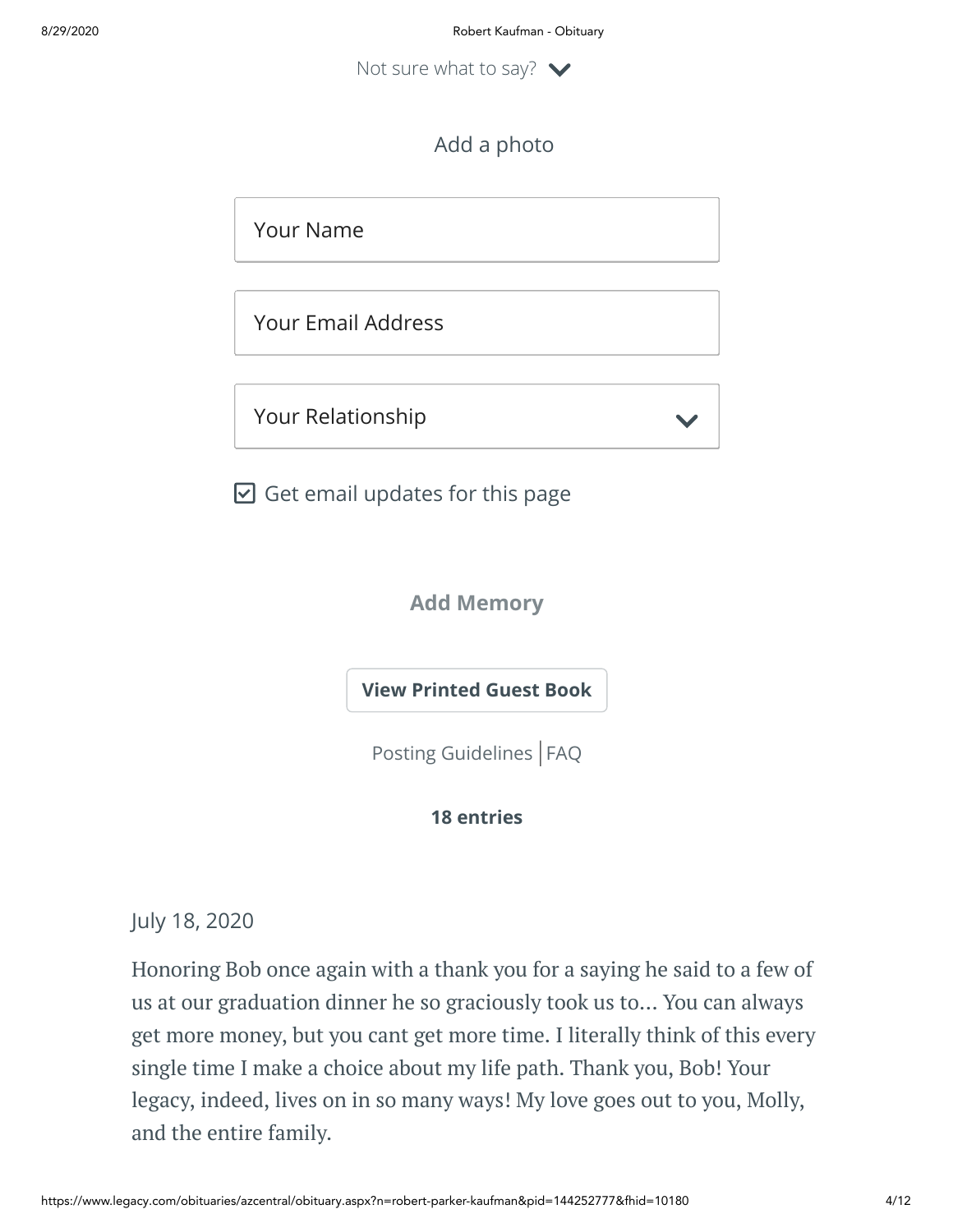Not sure what to say?  $\vee$ 

# Add a photo

Your Name

Your Email Address

Your Relationship

 $\boxdot$  Get email updates for this page

**Add Memory**

**[View Printed Guest Book](https://sympathy.legacy.com/en-us/printed-obituary-guestbook/gallery/?type=obituary&p=144252777&pn=robert-kaufman&affiliateId=45&pm=69)**

[Posting Guidelines](https://www.legacy.com/guestbooks/posting-guidelines.aspx?n=Robert-Kaufman&pid=144252777) | [FAQ](https://www.legacy.com/guestbooks/faq.aspx?n=Robert-Kaufman&pid=144252777)

# **18 entries**

July 18, 2020

Honoring Bob once again with a thank you for a saying he said to a few of us at our graduation dinner he so graciously took us to... You can always get more money, but you cant get more time. I literally think of this every single time I make a choice about my life path. Thank you, Bob! Your legacy, indeed, lives on in so many ways! My love goes out to you, Molly, and the entire family.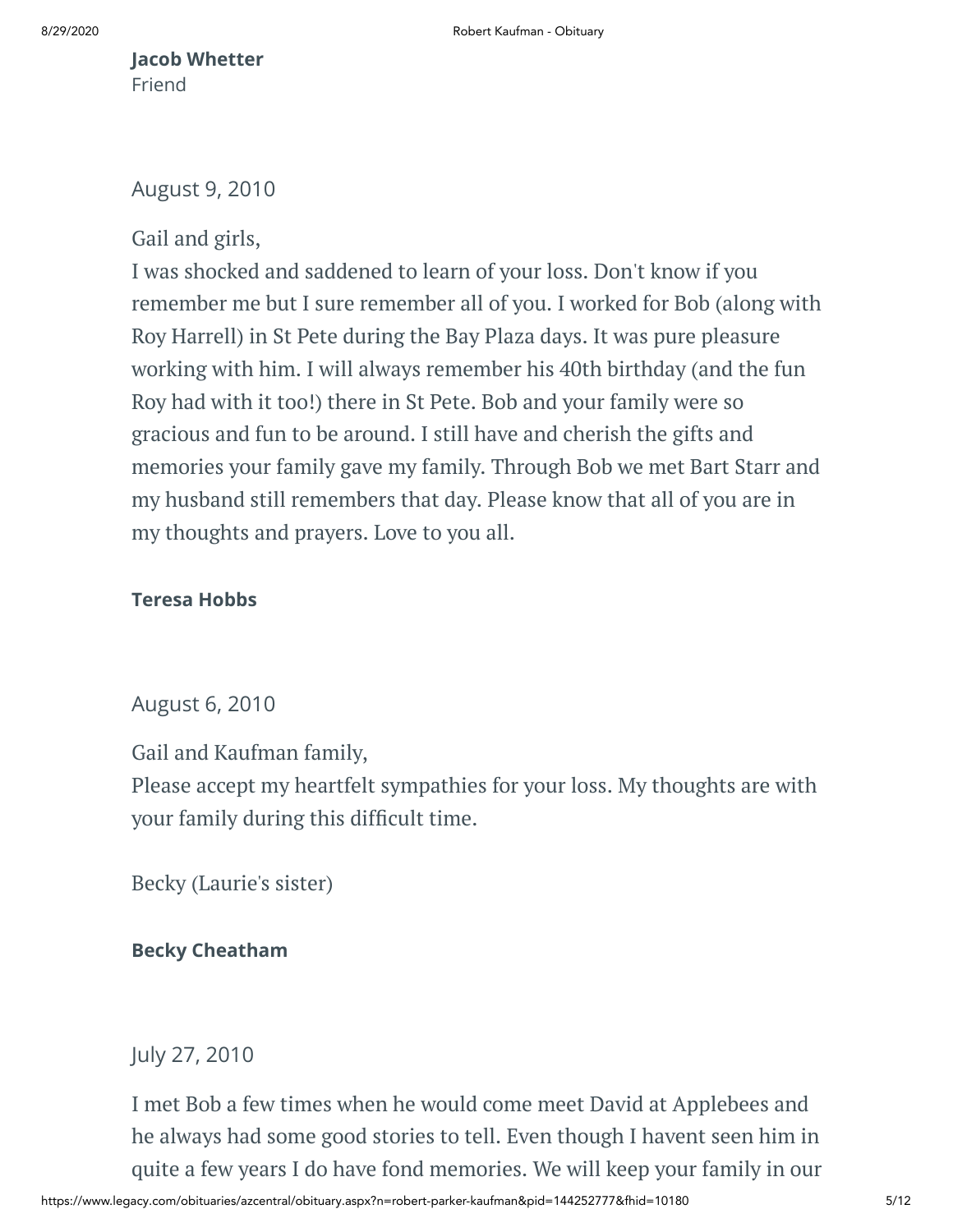# **Jacob Whetter** Friend

# August 9, 2010

# Gail and girls,

I was shocked and saddened to learn of your loss. Don't know if you remember me but I sure remember all of you. I worked for Bob (along with Roy Harrell) in St Pete during the Bay Plaza days. It was pure pleasure working with him. I will always remember his 40th birthday (and the fun Roy had with it too!) there in St Pete. Bob and your family were so gracious and fun to be around. I still have and cherish the gifts and memories your family gave my family. Through Bob we met Bart Starr and my husband still remembers that day. Please know that all of you are in my thoughts and prayers. Love to you all.

# **Teresa Hobbs**

# August 6, 2010

Gail and Kaufman family,

Please accept my heartfelt sympathies for your loss. My thoughts are with your family during this difficult time.

Becky (Laurie's sister)

# **Becky Cheatham**

July 27, 2010

I met Bob a few times when he would come meet David at Applebees and he always had some good stories to tell. Even though I havent seen him in quite a few years I do have fond memories. We will keep your family in our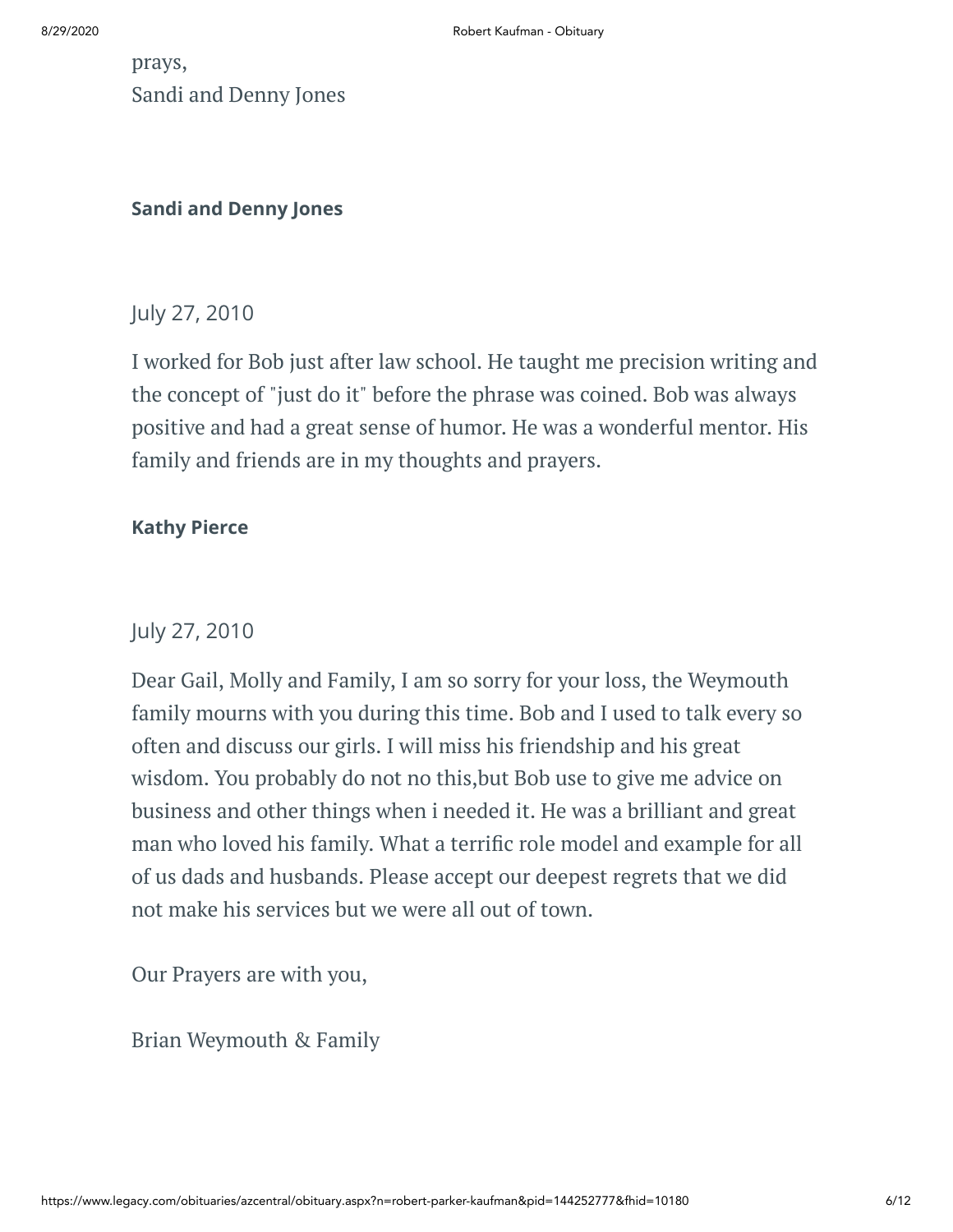prays, Sandi and Denny Jones

# **Sandi and Denny Jones**

# July 27, 2010

I worked for Bob just after law school. He taught me precision writing and the concept of "just do it" before the phrase was coined. Bob was always positive and had a great sense of humor. He was a wonderful mentor. His family and friends are in my thoughts and prayers.

# **Kathy Pierce**

# July 27, 2010

Dear Gail, Molly and Family, I am so sorry for your loss, the Weymouth family mourns with you during this time. Bob and I used to talk every so often and discuss our girls. I will miss his friendship and his great wisdom. You probably do not no this,but Bob use to give me advice on business and other things when i needed it. He was a brilliant and great man who loved his family. What a terrific role model and example for all of us dads and husbands. Please accept our deepest regrets that we did not make his services but we were all out of town.

Our Prayers are with you,

Brian Weymouth & Family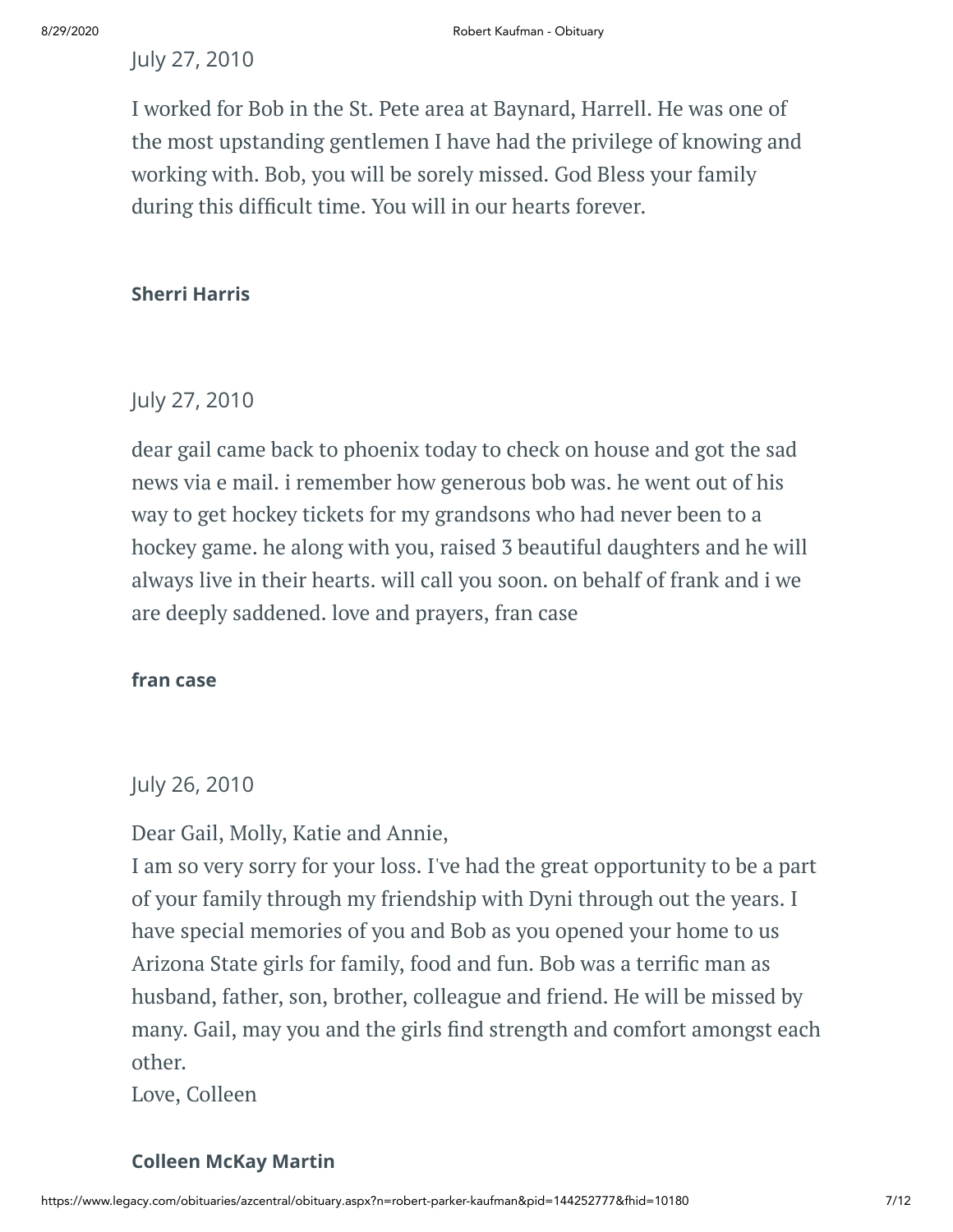# July 27, 2010

I worked for Bob in the St. Pete area at Baynard, Harrell. He was one of the most upstanding gentlemen I have had the privilege of knowing and working with. Bob, you will be sorely missed. God Bless your family during this difficult time. You will in our hearts forever.

# **Sherri Harris**

# July 27, 2010

dear gail came back to phoenix today to check on house and got the sad news via e mail. i remember how generous bob was. he went out of his way to get hockey tickets for my grandsons who had never been to a hockey game. he along with you, raised 3 beautiful daughters and he will always live in their hearts. will call you soon. on behalf of frank and i we are deeply saddened. love and prayers, fran case

## **fran case**

# July 26, 2010

Dear Gail, Molly, Katie and Annie,

I am so very sorry for your loss. I've had the great opportunity to be a part of your family through my friendship with Dyni through out the years. I have special memories of you and Bob as you opened your home to us Arizona State girls for family, food and fun. Bob was a terrific man as husband, father, son, brother, colleague and friend. He will be missed by many. Gail, may you and the girls find strength and comfort amongst each other.

Love, Colleen

## **Colleen McKay Martin**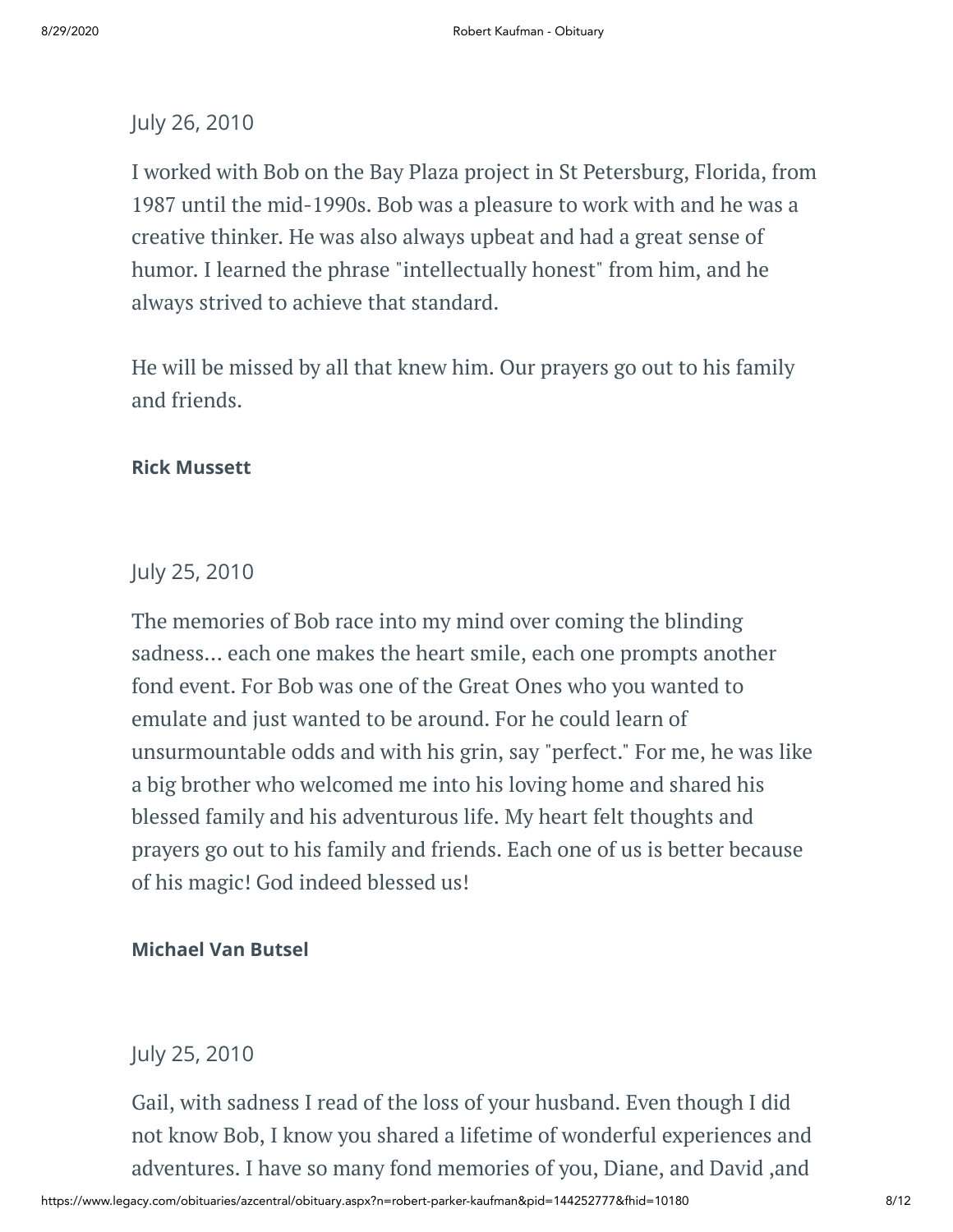# July 26, 2010

I worked with Bob on the Bay Plaza project in St Petersburg, Florida, from 1987 until the mid-1990s. Bob was a pleasure to work with and he was a creative thinker. He was also always upbeat and had a great sense of humor. I learned the phrase "intellectually honest" from him, and he always strived to achieve that standard.

He will be missed by all that knew him. Our prayers go out to his family and friends.

# **Rick Mussett**

# July 25, 2010

The memories of Bob race into my mind over coming the blinding sadness... each one makes the heart smile, each one prompts another fond event. For Bob was one of the Great Ones who you wanted to emulate and just wanted to be around. For he could learn of unsurmountable odds and with his grin, say "perfect." For me, he was like a big brother who welcomed me into his loving home and shared his blessed family and his adventurous life. My heart felt thoughts and prayers go out to his family and friends. Each one of us is better because of his magic! God indeed blessed us!

# **Michael Van Butsel**

# July 25, 2010

Gail, with sadness I read of the loss of your husband. Even though I did not know Bob, I know you shared a lifetime of wonderful experiences and adventures. I have so many fond memories of you, Diane, and David ,and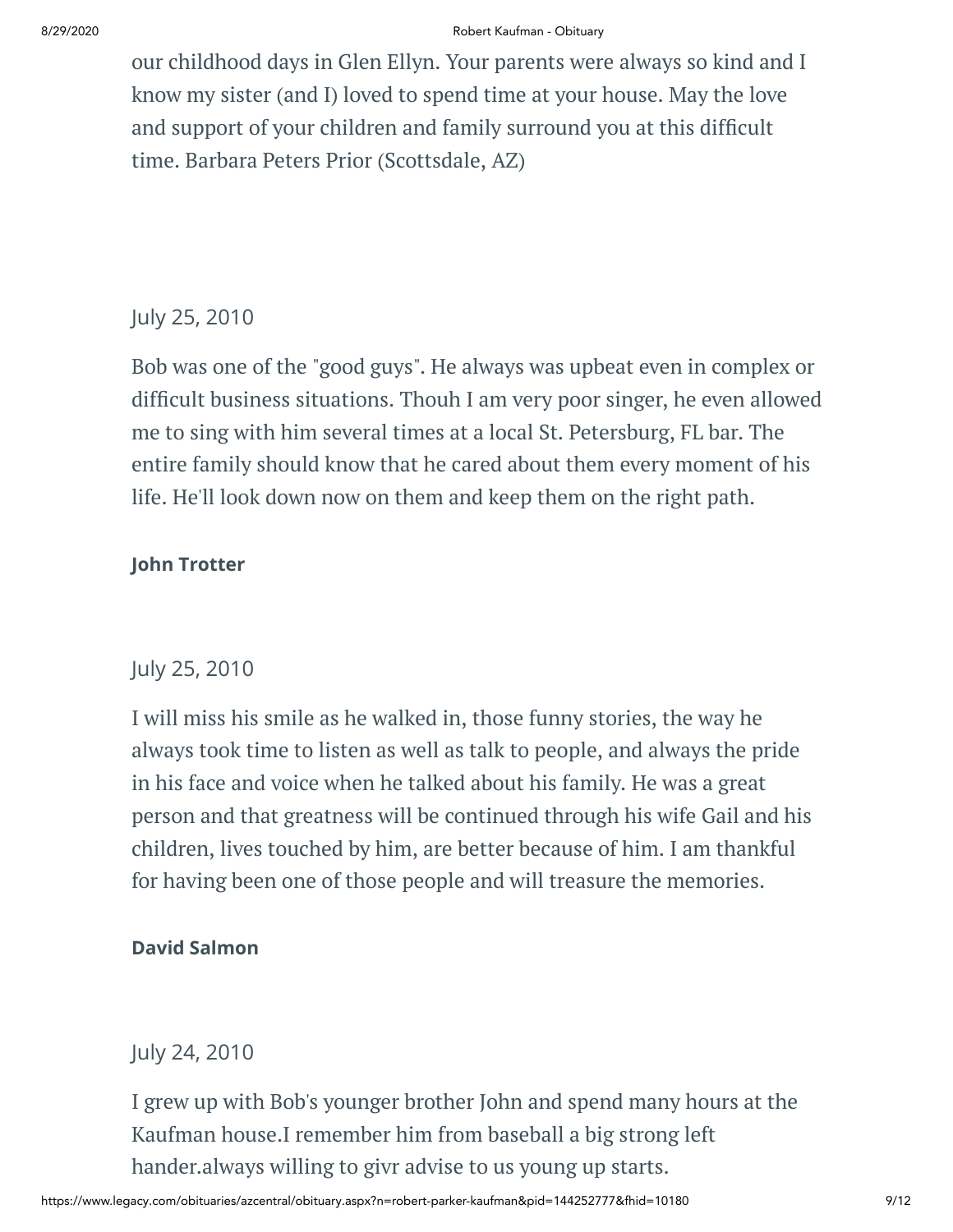#### 8/29/2020 Robert Kaufman - Obituary

our childhood days in Glen Ellyn. Your parents were always so kind and I know my sister (and I) loved to spend time at your house. May the love and support of your children and family surround you at this difficult time. Barbara Peters Prior (Scottsdale, AZ)

# July 25, 2010

Bob was one of the "good guys". He always was upbeat even in complex or difficult business situations. Thouh I am very poor singer, he even allowed me to sing with him several times at a local St. Petersburg, FL bar. The entire family should know that he cared about them every moment of his life. He'll look down now on them and keep them on the right path.

# **John Trotter**

# July 25, 2010

I will miss his smile as he walked in, those funny stories, the way he always took time to listen as well as talk to people, and always the pride in his face and voice when he talked about his family. He was a great person and that greatness will be continued through his wife Gail and his children, lives touched by him, are better because of him. I am thankful for having been one of those people and will treasure the memories.

# **David Salmon**

July 24, 2010

I grew up with Bob's younger brother John and spend many hours at the Kaufman house.I remember him from baseball a big strong left hander.always willing to givr advise to us young up starts.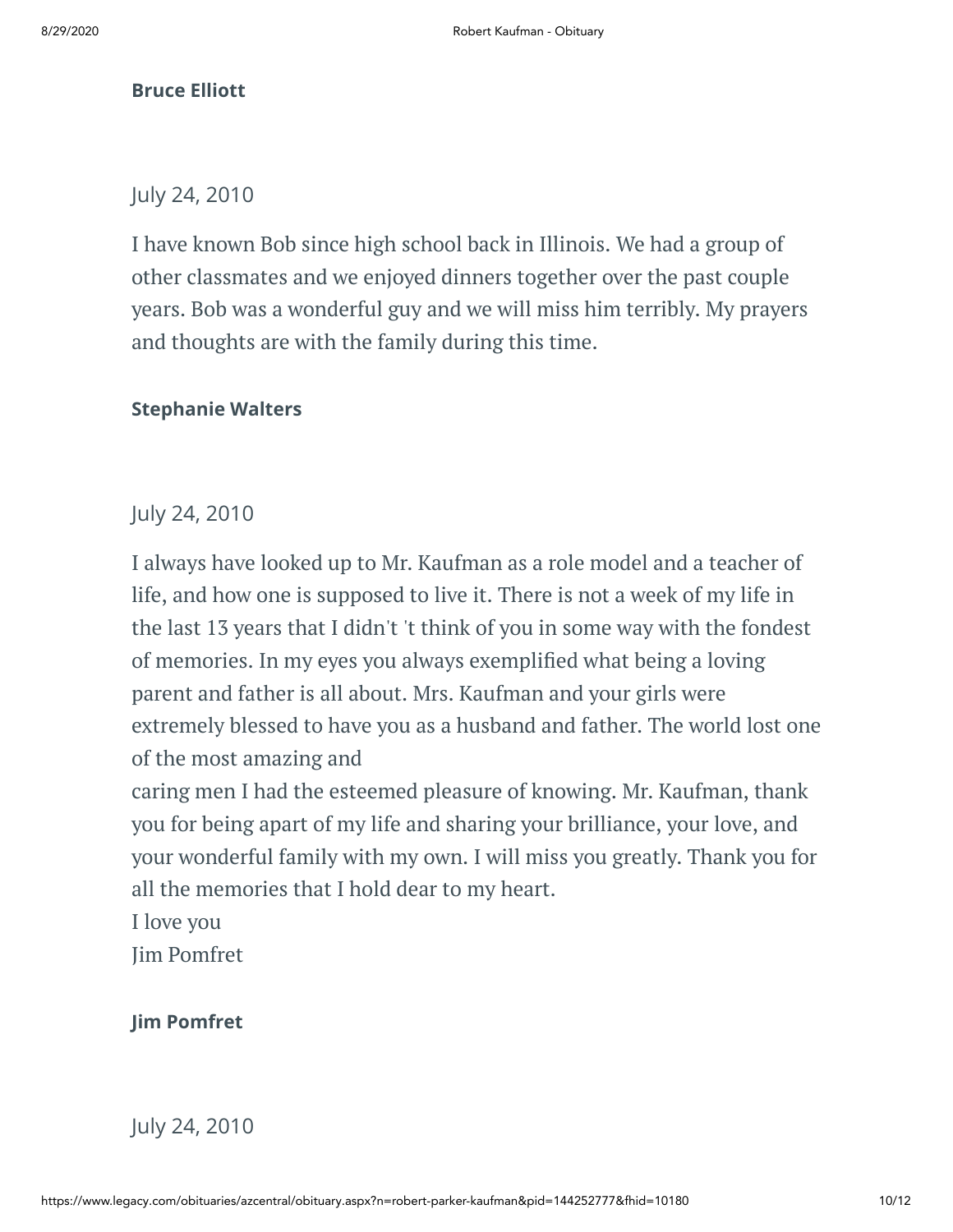# **Bruce Elliott**

# July 24, 2010

I have known Bob since high school back in Illinois. We had a group of other classmates and we enjoyed dinners together over the past couple years. Bob was a wonderful guy and we will miss him terribly. My prayers and thoughts are with the family during this time.

# **Stephanie Walters**

# July 24, 2010

I always have looked up to Mr. Kaufman as a role model and a teacher of life, and how one is supposed to live it. There is not a week of my life in the last 13 years that I didn't 't think of you in some way with the fondest of memories. In my eyes you always exemplified what being a loving parent and father is all about. Mrs. Kaufman and your girls were extremely blessed to have you as a husband and father. The world lost one of the most amazing and

caring men I had the esteemed pleasure of knowing. Mr. Kaufman, thank you for being apart of my life and sharing your brilliance, your love, and your wonderful family with my own. I will miss you greatly. Thank you for all the memories that I hold dear to my heart.

I love you

Jim Pomfret

**Jim Pomfret**

July 24, 2010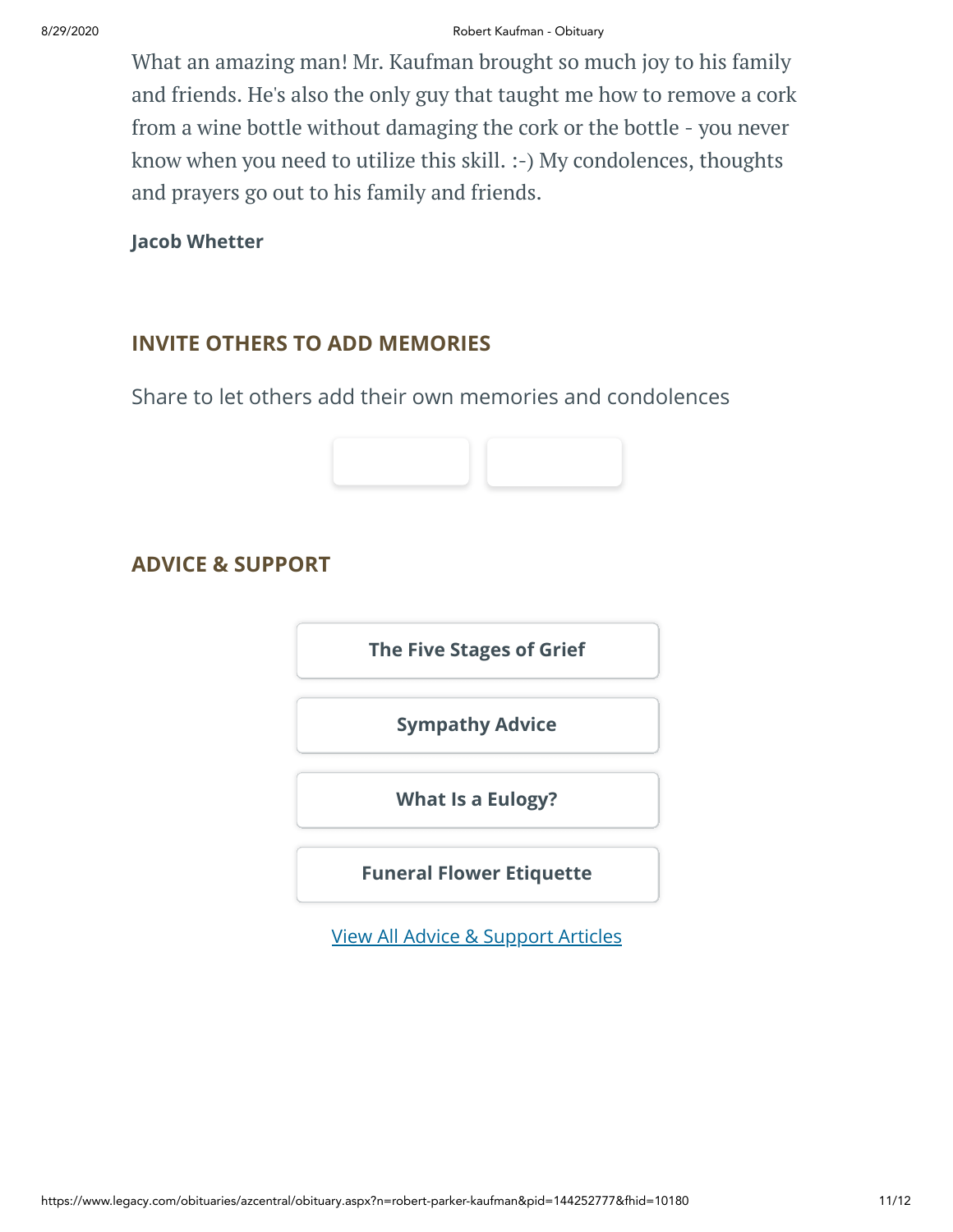What an amazing man! Mr. Kaufman brought so much joy to his family and friends. He's also the only guy that taught me how to remove a cork from a wine bottle without damaging the cork or the bottle - you never know when you need to utilize this skill. :-) My condolences, thoughts and prayers go out to his family and friends.

**Jacob Whetter**

# **INVITE OTHERS TO ADD MEMORIES**

Share to let others add their own memories and condolences



# **ADVICE & SUPPORT**

**[The Five Stages of Grief](https://www.legacy.com/news/advice-and-support/article/the-five-stages-of-grief)**

**[Sympathy Advice](https://www.legacy.com/news/advice-and-support/article/sympathy-and-condolence-advice)**

**[What Is a Eulogy?](https://www.legacy.com/news/advice-and-support/article/what-is-a-eulogy)**

**[Funeral Flower Etiquette](https://sympathy.legacy.com//en-us/funeral-flowers/article/funeral-flower-etiquette/)**

[View All Advice & Support Articles](http://www.legacy.com/news/advice-and-support)